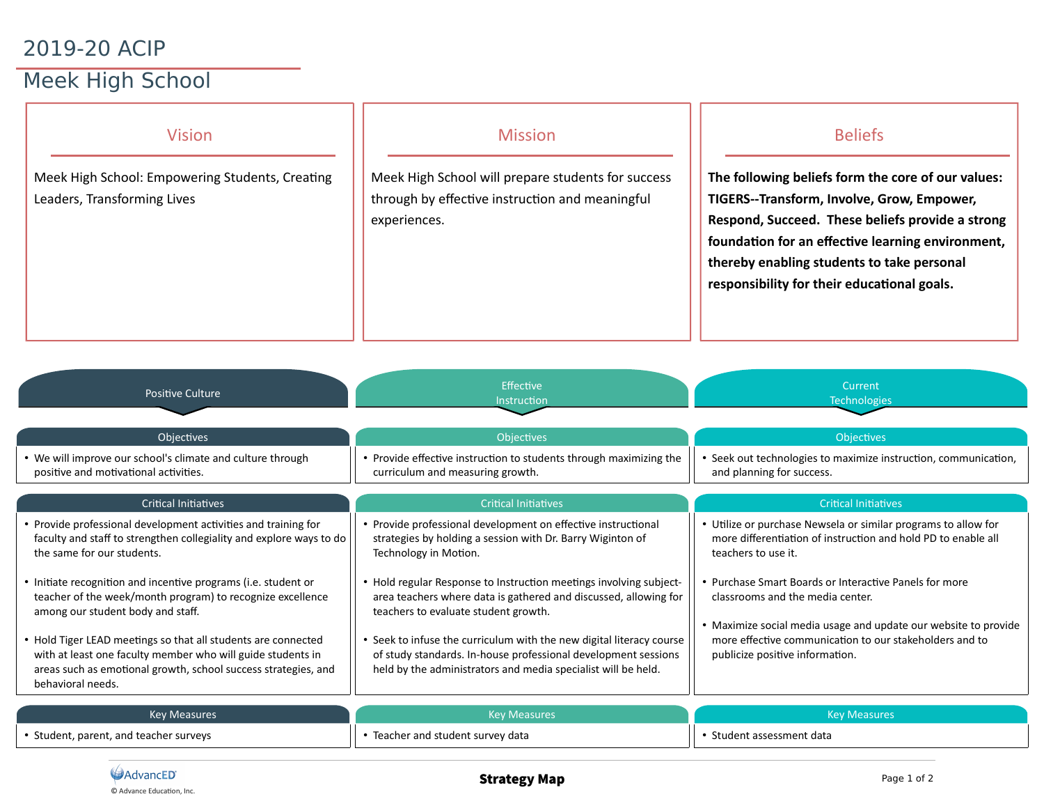## 2019-20 ACIP

## Meek High School

| <b>Vision</b><br>Meek High School: Empowering Students, Creating<br>Leaders, Transforming Lives     | <b>Mission</b><br>Meek High School will prepare students for success<br>through by effective instruction and meaningful<br>experiences. | <b>Beliefs</b><br>The following beliefs form the core of our values:<br>TIGERS--Transform, Involve, Grow, Empower,<br>Respond, Succeed. These beliefs provide a strong<br>foundation for an effective learning environment,<br>thereby enabling students to take personal<br>responsibility for their educational goals. |
|-----------------------------------------------------------------------------------------------------|-----------------------------------------------------------------------------------------------------------------------------------------|--------------------------------------------------------------------------------------------------------------------------------------------------------------------------------------------------------------------------------------------------------------------------------------------------------------------------|
| <b>Positive Culture</b>                                                                             | Effective<br>Instruction                                                                                                                | Current<br><b>Technologies</b>                                                                                                                                                                                                                                                                                           |
| Objectives                                                                                          | <b>Objectives</b>                                                                                                                       | Objectives                                                                                                                                                                                                                                                                                                               |
| • We will improve our school's climate and culture through<br>positive and motivational activities. | • Provide effective instruction to students through maximizing the<br>curriculum and measuring growth.                                  | • Seek out technologies to maximize instruction, communication,<br>and planning for success.                                                                                                                                                                                                                             |
| <b>Critical Initiatives</b>                                                                         | <b>Critical Initiatives</b>                                                                                                             | <b>Critical Initiatives</b>                                                                                                                                                                                                                                                                                              |
| • Provide professional development activities and training for                                      | • Provide professional development on effective instructional                                                                           | • Utilize or purchase Newsela or similar programs to allow for                                                                                                                                                                                                                                                           |

- Provide professional development activities and training for faculty and staff to strengthen collegiality and explore ways to do the same for our students.
- Initate recogniton and incentve programs (i.e. student or teacher of the week/month program) to recognize excellence among our student body and staf.
- Hold Tiger LEAD meetings so that all students are connected with at least one faculty member who will guide students in areas such as emotional growth, school success strategies, and behavioral needs.

| <b>Key Measures</b>                    | <b>Key Measures</b>             | <b>Key Measures</b>     |
|----------------------------------------|---------------------------------|-------------------------|
| • Student, parent, and teacher surveys | Teacher and student survey data | Student assessment data |

strategies by holding a session with Dr. Barry Wiginton of

Hold regular Response to Instruction meetings involving subjectarea teachers where data is gathered and discussed, allowing for

Seek to infuse the curriculum with the new digital literacy course of study standards. In-house professional development sessions held by the administrators and media specialist will be held.

Technology in Motion.

teachers to evaluate student growth.

more differentiation of instruction and hold PD to enable all

• Maximize social media usage and update our website to provide more effective communication to our stakeholders and to

• Purchase Smart Boards or Interactive Panels for more

teachers to use it.

classrooms and the media center.

publicize positive information.